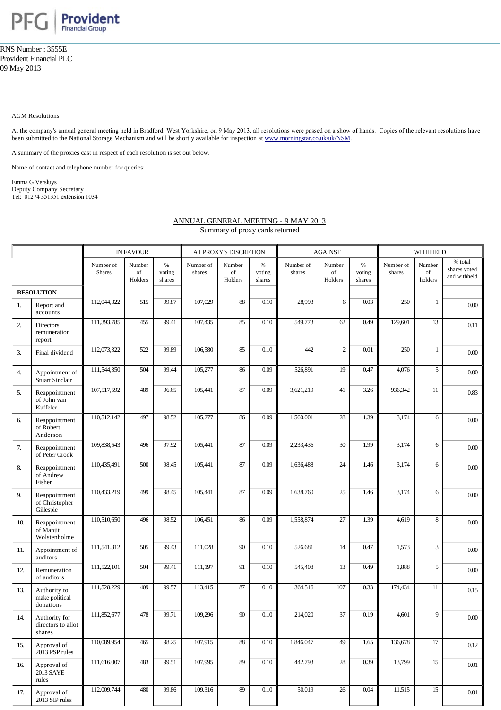

RNS Number : 3555E Provident Financial PLC 09 May 2013

AGM Resolutions

At the company's annual general meeting held in Bradford, West Yorkshire, on 9 May 2013, all resolutions were passed on a show of hands. Copies of the relevant resolutions have been submitted to the National Storage Mechanism and will be shortly available for inspection at [www.morningstar.co.uk/uk/NSM](http://www.morningstar.co.uk/uk/NSM).

A summary of the proxies cast in respect of each resolution is set out below.

Name of contact and telephone number for queries:

Emma G Versluys Deputy Company Secretary Tel: 01274 351351 extension 1034

## ANNUAL GENERAL MEETING - 9 MAY 2013 Summary of proxy cards returned

|                   |                                               | <b>IN FAVOUR</b>           |                         |                          | AT PROXY'S DISCRETION |                          |                          | <b>AGAINST</b>      |                         |                          | <b>WITHHELD</b>     |                         |                                         |
|-------------------|-----------------------------------------------|----------------------------|-------------------------|--------------------------|-----------------------|--------------------------|--------------------------|---------------------|-------------------------|--------------------------|---------------------|-------------------------|-----------------------------------------|
|                   |                                               | Number of<br><b>Shares</b> | Number<br>of<br>Holders | $\%$<br>voting<br>shares | Number of<br>shares   | Number<br>of<br>Holders  | $\%$<br>voting<br>shares | Number of<br>shares | Number<br>of<br>Holders | $\%$<br>voting<br>shares | Number of<br>shares | Number<br>of<br>holders | % total<br>shares voted<br>and withheld |
| <b>RESOLUTION</b> |                                               |                            |                         |                          |                       |                          |                          |                     |                         |                          |                     |                         |                                         |
| 1.                | Report and<br>accounts                        | 112,044,322                | 515                     | 99.87                    | 107,029               | 88                       | 0.10                     | 28,993              | 6                       | 0.03                     | 250                 | 1                       | $0.00\,$                                |
| 2.                | Directors'<br>remuneration<br>report          | 111,393,785                | 455                     | 99.41                    | 107,435               | 85                       | 0.10                     | 549,773             | 62                      | 0.49                     | 129,601             | 13                      | 0.11                                    |
| 3.                | Final dividend                                | 112,073,322                | 522                     | 99.89                    | 106,580               | 85                       | 0.10                     | 442                 | $\overline{c}$          | 0.01                     | 250                 | $\mathbf{1}$            | $0.00\,$                                |
| 4.                | Appointment of<br><b>Stuart Sinclair</b>      | 111,544,350                | 504                     | 99.44                    | 105,277               | 86                       | 0.09                     | 526,891             | 19                      | 0.47                     | 4,076               | 5                       | $0.00\,$                                |
| 5.                | Reappointment<br>of John van<br>Kuffeler      | 107,517,592                | 489                     | 96.65                    | 105,441               | 87                       | 0.09                     | 3,621,219           | 41                      | 3.26                     | 936,342             | 11                      | 0.83                                    |
| 6.                | Reappointment<br>of Robert<br>Anderson        | 110,512,142                | 497                     | 98.52                    | 105,277               | 86                       | 0.09                     | 1,560,001           | $28\,$                  | 1.39                     | 3,174               | 6                       | $0.00\,$                                |
| 7.                | Reappointment<br>of Peter Crook               | 109,838,543                | 496                     | 97.92                    | 105,441               | $87\,$                   | 0.09                     | 2,233,436           | 30                      | 1.99                     | 3,174               | 6                       | $0.00\,$                                |
| 8.                | Reappointment<br>of Andrew<br>Fisher          | 110,435,491                | 500                     | 98.45                    | 105,441               | 87                       | 0.09                     | 1,636,488           | 24                      | 1.46                     | 3,174               | 6                       | $0.00\,$                                |
| 9.                | Reappointment<br>of Christopher<br>Gillespie  | 110,433,219                | 499                     | 98.45                    | 105,441               | 87                       | 0.09                     | 1,638,760           | $\overline{25}$         | 1.46                     | 3,174               | 6                       | $0.00\,$                                |
| 10.               | Reappointment<br>of Manjit<br>Wolstenholme    | 110,510,650                | 496                     | 98.52                    | 106,451               | 86                       | 0.09                     | 1,558,874           | 27                      | 1.39                     | 4,619               | 8                       | $0.00\,$                                |
| 11.               | Appointment of<br>auditors                    | 111,541,312                | 505                     | 99.43                    | 111,028               | 90                       | 0.10                     | 526,681             | 14                      | 0.47                     | 1,573               | 3                       | $0.00\,$                                |
| 12.               | Remuneration<br>of auditors                   | 111,522,101                | 504                     | 99.41                    | 111,197               | 91                       | 0.10                     | 545,408             | 13                      | 0.49                     | 1,888               | 5                       | $0.00\,$                                |
| 13.               | Authority to<br>make political<br>donations   | 111,528,229                | 409                     | 99.57                    | 113,415               | 87                       | 0.10                     | 364,516             | 107                     | 0.33                     | 174,434             | 11                      | 0.15                                    |
| 14.               | Authority for<br>directors to allot<br>shares | 111,852,677                | 478                     | 99.71                    | 109,296               | $\overline{90}$          | 0.10                     | 214,020             | $\overline{37}$         | 0.19                     | 4,601               | 9                       | $0.00\,$                                |
| 15.               | Approval of<br>2013 PSP rules                 | 110,089,954                | 465                     | 98.25                    | 107,915               | $\overline{\textbf{88}}$ | 0.10                     | 1,846,047           | 49                      | 1.65                     | 136,678             | $17\,$                  | 0.12                                    |
| 16.               | Approval of<br>2013 SAYE<br>rules             | 111,616,007                | 483                     | 99.51                    | 107,995               | 89                       | 0.10                     | 442,793             | $28\,$                  | 0.39                     | 13,799              | 15                      | 0.01                                    |
| 17.               | Approval of<br>2013 SIP rules                 | 112,009,744                | 480                     | 99.86                    | 109,316               | 89                       | 0.10                     | 50,019              | $\overline{26}$         | 0.04                     | 11,515              | 15                      | 0.01                                    |